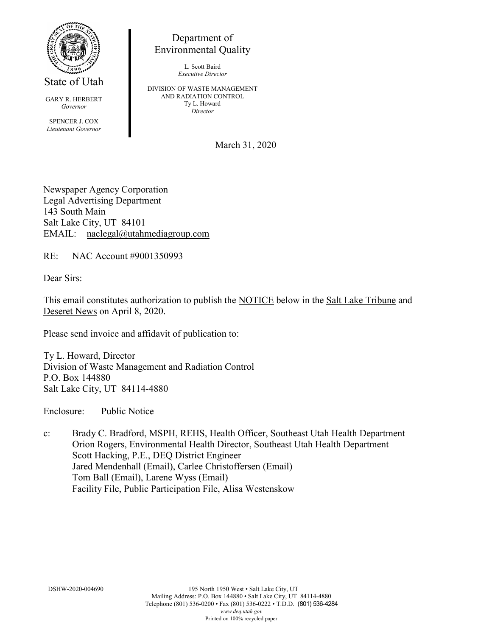

State of Utah

GARY R. HERBERT *Governor*

SPENCER J. COX *Lieutenant Governor*

Department of Environmental Quality

> L. Scott Baird *Executive Director*

DIVISION OF WASTE MANAGEMENT AND RADIATION CONTROL Ty L. Howard *Director*

March 31, 2020

Newspaper Agency Corporation Legal Advertising Department 143 South Main Salt Lake City, UT 84101 EMAIL: naclegal@utahmediagroup.com

RE: NAC Account #9001350993

Dear Sirs:

This email constitutes authorization to publish the NOTICE below in the Salt Lake Tribune and Deseret News on April 8, 2020.

Please send invoice and affidavit of publication to:

Ty L. Howard, Director Division of Waste Management and Radiation Control P.O. Box 144880 Salt Lake City, UT 84114-4880

Enclosure: Public Notice

c: Brady C. Bradford, MSPH, REHS, Health Officer, Southeast Utah Health Department Orion Rogers, Environmental Health Director, Southeast Utah Health Department Scott Hacking, P.E., DEQ District Engineer Jared Mendenhall (Email), Carlee Christoffersen (Email) Tom Ball (Email), Larene Wyss (Email) Facility File, Public Participation File, Alisa Westenskow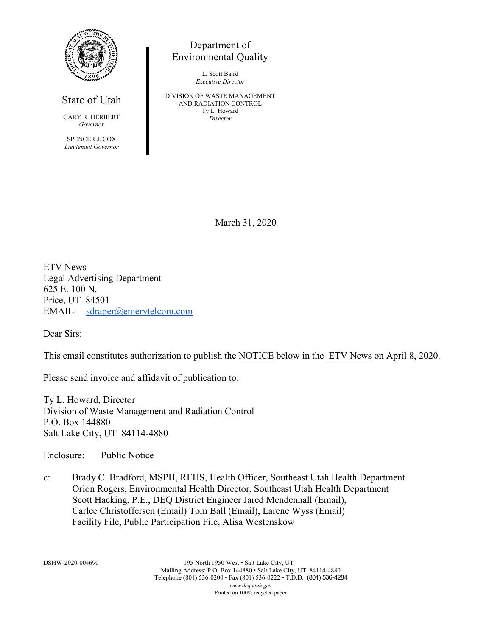

## State of Utah

GARY R. HERBERT *Governor*

SPENCER J. COX *Lieutenant Governor*

## Department of Environmental Quality

L. Scott Baird *Executive Director*

DIVISION OF WASTE MANAGEMENT AND RADIATION CONTROL Ty L. Howard *Director*

March 31, 2020

ETV News Legal Advertising Department 625 E. 100 N. Price, UT 84501 EMAIL: [sdraper@emerytelcom.com](mailto:sdraper@emerytelcom.com)

Dear Sirs:

This email constitutes authorization to publish the NOTICE below in the ETV News on April 8, 2020.

Please send invoice and affidavit of publication to:

Ty L. Howard, Director Division of Waste Management and Radiation Control P.O. Box 144880 Salt Lake City, UT 84114-4880

Enclosure: Public Notice

c: Brady C. Bradford, MSPH, REHS, Health Officer, Southeast Utah Health Department Orion Rogers, Environmental Health Director, Southeast Utah Health Department Scott Hacking, P.E., DEQ District Engineer Jared Mendenhall (Email), Carlee Christoffersen (Email) Tom Ball (Email), Larene Wyss (Email) Facility File, Public Participation File, Alisa Westenskow

DSHW-2020-004690 195 North 1950 West • Salt Lake City, UT Mailing Address: P.O. Box 144880 • Salt Lake City, UT 84114-4880 Telephone (801) 536-0200 • Fax (801) 536-0222 • T.D.D. (801) 536-4284 *www.deq.utah.gov* Printed on 100% recycled paper